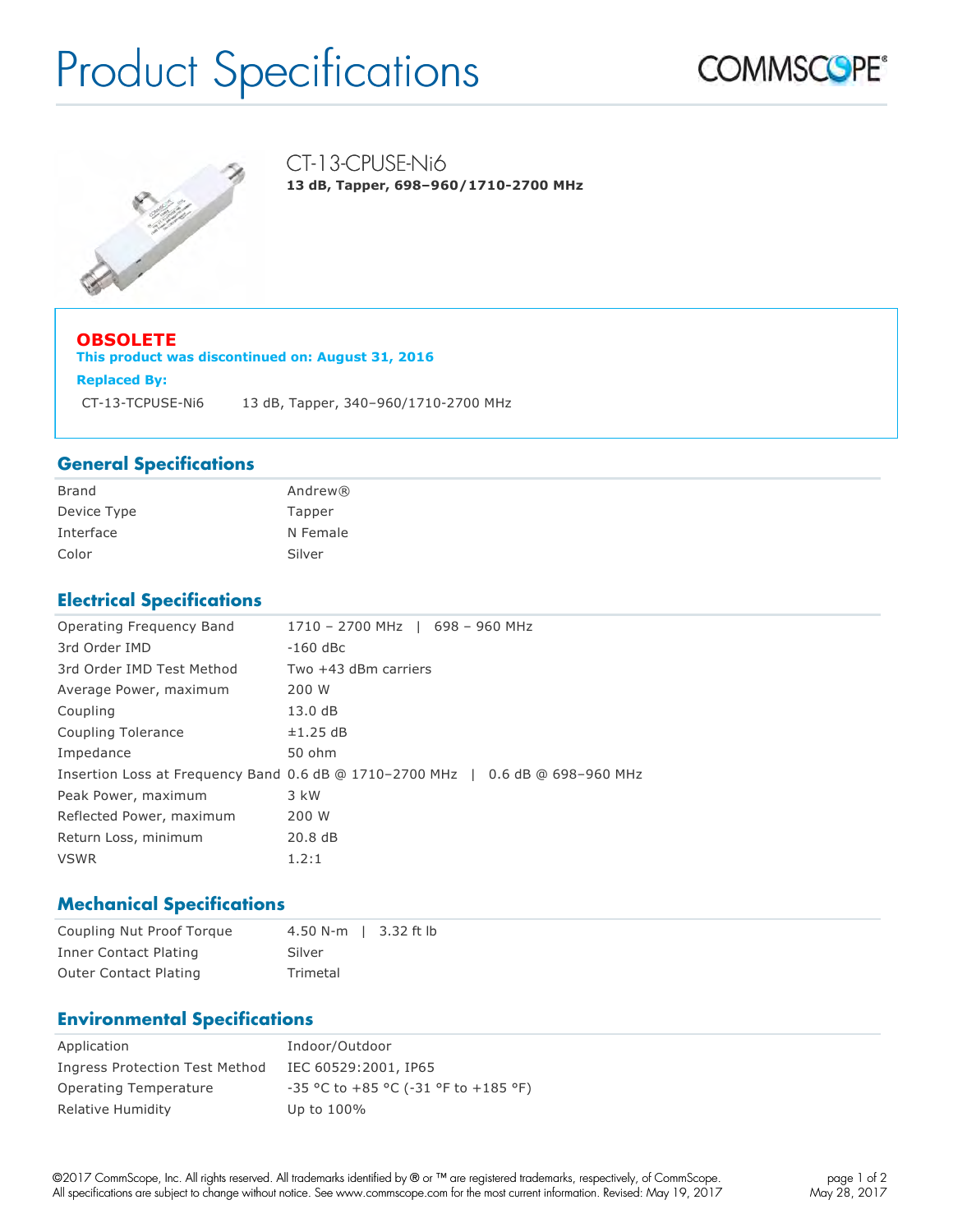# Product Specifications

CT-13-CPUSE-Ni6

**13 dB, Tapper, 698–960/1710-2700 MHz**





**OBSOLETE This product was discontinued on: August 31, 2016 Replaced By:** CT-13-TCPUSE-Ni6 13 dB, Tapper, 340–960/1710-2700 MHz

#### **General Specifications**

| <b>Brand</b> | Andrew®  |
|--------------|----------|
| Device Type  | Tapper   |
| Interface    | N Female |
| Color        | Silver   |

## **Electrical Specifications**

| Operating Frequency Band  | 1710 - 2700 MHz   698 - 960 MHz                                                |
|---------------------------|--------------------------------------------------------------------------------|
| 3rd Order IMD             | -160 dBc                                                                       |
| 3rd Order IMD Test Method | Two $+43$ dBm carriers                                                         |
| Average Power, maximum    | 200 W                                                                          |
| Coupling                  | 13.0 dB                                                                        |
| Coupling Tolerance        | ±1.25 dB                                                                       |
| Impedance                 | 50 ohm                                                                         |
|                           | Insertion Loss at Frequency Band 0.6 dB @ 1710-2700 MHz   0.6 dB @ 698-960 MHz |
| Peak Power, maximum       | 3 kW                                                                           |
| Reflected Power, maximum  | 200 W                                                                          |
| Return Loss, minimum      | 20.8dB                                                                         |
| <b>VSWR</b>               | 1.2:1                                                                          |

#### **Mechanical Specifications**

| Coupling Nut Proof Torque | 4.50 N-m   3.32 ft lb |
|---------------------------|-----------------------|
| Inner Contact Plating     | Silver                |
| Outer Contact Plating     | Trimetal              |

#### **Environmental Specifications**

| Application                    | Indoor/Outdoor                                |
|--------------------------------|-----------------------------------------------|
| Ingress Protection Test Method | IEC 60529:2001, IP65                          |
| Operating Temperature          | $-35$ °C to $+85$ °C ( $-31$ °F to $+185$ °F) |
| Relative Humidity              | Up to 100%                                    |